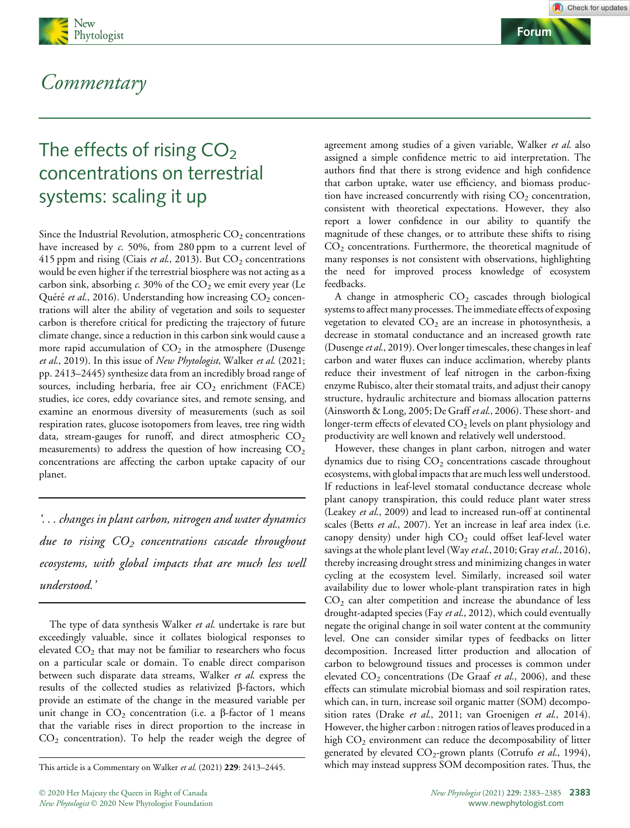



## Commentary

# The effects of rising  $CO<sub>2</sub>$ concentrations on terrestrial systems: scaling it up

Since the Industrial Revolution, atmospheric  $CO<sub>2</sub>$  concentrations have increased by c. 50%, from 280 ppm to a current level of 415 ppm and rising (Ciais et al., 2013). But  $CO_2$  concentrations would be even higher if the terrestrial biosphere was not acting as a carbon sink, absorbing  $c$ . 30% of the  $CO<sub>2</sub>$  we emit every year (Le Quéré et al., 2016). Understanding how increasing  $CO<sub>2</sub>$  concentrations will alter the ability of vegetation and soils to sequester carbon is therefore critical for predicting the trajectory of future climate change, since a reduction in this carbon sink would cause a more rapid accumulation of  $CO<sub>2</sub>$  in the atmosphere (Dusenge et al., 2019). In this issue of New Phytologist, Walker et al. (2021; pp. 2413–2445) synthesize data from an incredibly broad range of sources, including herbaria, free air  $CO<sub>2</sub>$  enrichment (FACE) studies, ice cores, eddy covariance sites, and remote sensing, and examine an enormous diversity of measurements (such as soil respiration rates, glucose isotopomers from leaves, tree ring width data, stream-gauges for runoff, and direct atmospheric  $CO<sub>2</sub>$ measurements) to address the question of how increasing  $CO<sub>2</sub>$ concentrations are affecting the carbon uptake capacity of our planet.

'... changes in plant carbon, nitrogen and water dynamics due to rising  $CO<sub>2</sub>$  concentrations cascade throughout ecosystems, with global impacts that are much less well understood.'

The type of data synthesis Walker et al. undertake is rare but exceedingly valuable, since it collates biological responses to elevated  $CO<sub>2</sub>$  that may not be familiar to researchers who focus on a particular scale or domain. To enable direct comparison between such disparate data streams, Walker et al. express the results of the collected studies as relativized  $\beta$ -factors, which provide an estimate of the change in the measured variable per unit change in  $CO<sub>2</sub>$  concentration (i.e. a  $\beta$ -factor of 1 means that the variable rises in direct proportion to the increase in  $CO<sub>2</sub>$  concentration). To help the reader weigh the degree of

agreement among studies of a given variable, Walker et al. also assigned a simple confidence metric to aid interpretation. The authors find that there is strong evidence and high confidence that carbon uptake, water use efficiency, and biomass production have increased concurrently with rising  $CO<sub>2</sub>$  concentration, consistent with theoretical expectations. However, they also report a lower confidence in our ability to quantify the magnitude of these changes, or to attribute these shifts to rising  $CO<sub>2</sub>$  concentrations. Furthermore, the theoretical magnitude of many responses is not consistent with observations, highlighting the need for improved process knowledge of ecosystem feedbacks.

A change in atmospheric  $CO<sub>2</sub>$  cascades through biological systems to affect many processes. The immediate effects of exposing vegetation to elevated  $CO<sub>2</sub>$  are an increase in photosynthesis, a decrease in stomatal conductance and an increased growth rate (Dusenge et al., 2019). Over longer timescales, these changes in leaf carbon and water fluxes can induce acclimation, whereby plants reduce their investment of leaf nitrogen in the carbon-fixing enzyme Rubisco, alter their stomatal traits, and adjust their canopy structure, hydraulic architecture and biomass allocation patterns (Ainsworth & Long, 2005; De Graff et al., 2006). These short- and longer-term effects of elevated CO<sub>2</sub> levels on plant physiology and productivity are well known and relatively well understood.

However, these changes in plant carbon, nitrogen and water dynamics due to rising  $CO<sub>2</sub>$  concentrations cascade throughout ecosystems, with global impacts that are much less well understood. If reductions in leaf-level stomatal conductance decrease whole plant canopy transpiration, this could reduce plant water stress (Leakey et al., 2009) and lead to increased run-off at continental scales (Betts et al., 2007). Yet an increase in leaf area index (i.e. canopy density) under high  $CO<sub>2</sub>$  could offset leaf-level water savings at the whole plant level (Way et al., 2010; Gray et al., 2016), thereby increasing drought stress and minimizing changes in water cycling at the ecosystem level. Similarly, increased soil water availability due to lower whole-plant transpiration rates in high  $CO<sub>2</sub>$  can alter competition and increase the abundance of less drought-adapted species (Fay et al., 2012), which could eventually negate the original change in soil water content at the community level. One can consider similar types of feedbacks on litter decomposition. Increased litter production and allocation of carbon to belowground tissues and processes is common under elevated  $CO_2$  concentrations (De Graaf et al., 2006), and these effects can stimulate microbial biomass and soil respiration rates, which can, in turn, increase soil organic matter (SOM) decomposition rates (Drake et al., 2011; van Groenigen et al., 2014). However, the higher carbon : nitrogen ratios of leaves produced in a high  $CO<sub>2</sub>$  environment can reduce the decomposability of litter generated by elevated  $CO_2$ -grown plants (Cotrufo et al., 1994), This article is a Commentary on Walker et al. (2021) 229: 2413–2445. which may instead suppress SOM decomposition rates. Thus, the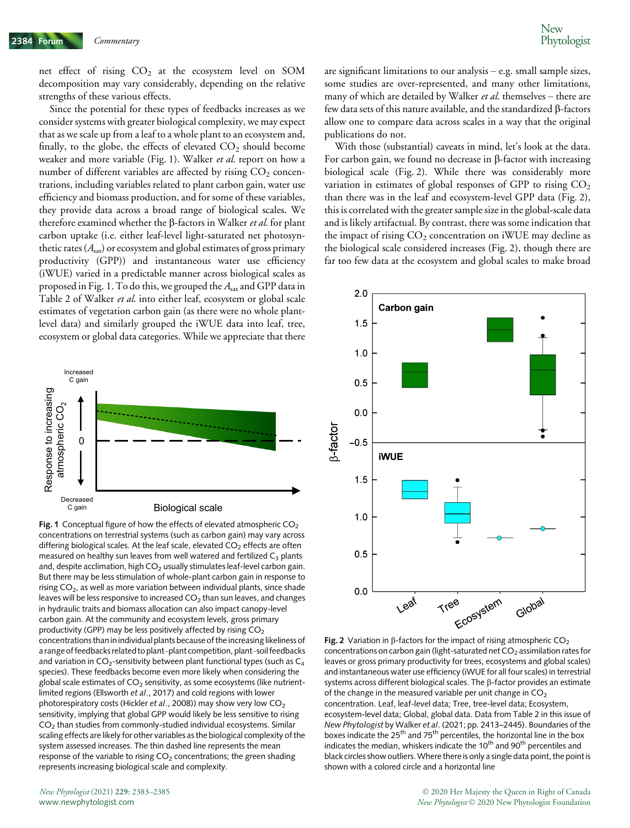net effect of rising  $CO<sub>2</sub>$  at the ecosystem level on SOM decomposition may vary considerably, depending on the relative strengths of these various effects.

Since the potential for these types of feedbacks increases as we consider systems with greater biological complexity, we may expect that as we scale up from a leaf to a whole plant to an ecosystem and, finally, to the globe, the effects of elevated  $CO<sub>2</sub>$  should become weaker and more variable (Fig. 1). Walker et al. report on how a number of different variables are affected by rising  $CO<sub>2</sub>$  concentrations, including variables related to plant carbon gain, water use efficiency and biomass production, and for some of these variables, they provide data across a broad range of biological scales. We therefore examined whether the  $\beta$ -factors in Walker *et al*. for plant carbon uptake (i.e. either leaf-level light-saturated net photosynthetic rates  $(A<sub>sat</sub>)$  or ecosystem and global estimates of gross primary productivity (GPP)) and instantaneous water use efficiency (iWUE) varied in a predictable manner across biological scales as proposed in Fig. 1. To do this, we grouped the  $A<sub>sat</sub>$  and GPP data in Table 2 of Walker et al. into either leaf, ecosystem or global scale estimates of vegetation carbon gain (as there were no whole plantlevel data) and similarly grouped the iWUE data into leaf, tree, ecosystem or global data categories. While we appreciate that there



Fig. 1 Conceptual figure of how the effects of elevated atmospheric  $CO<sub>2</sub>$ concentrations on terrestrial systems (such as carbon gain) may vary across differing biological scales. At the leaf scale, elevated  $CO<sub>2</sub>$  effects are often measured on healthy sun leaves from well watered and fertilized  $C_3$  plants and, despite acclimation, high  $CO<sub>2</sub>$  usually stimulates leaf-level carbon gain. But there may be less stimulation of whole-plant carbon gain in response to rising  $CO<sub>2</sub>$ , as well as more variation between individual plants, since shade leaves will be less responsive to increased  $CO<sub>2</sub>$  than sun leaves, and changes in hydraulic traits and biomass allocation can also impact canopy-level carbon gain. At the community and ecosystem levels, gross primary productivity (GPP) may be less positively affected by rising  $CO<sub>2</sub>$ concentrations than in individual plants because of the increasing likeliness of a range of feedbacks related to plant–plant competition, plant–soil feedbacks and variation in  $CO_2$ -sensitivity between plant functional types (such as  $C_4$ species). These feedbacks become even more likely when considering the global scale estimates of  $CO<sub>2</sub>$  sensitivity, as some ecosystems (like nutrientlimited regions (Ellsworth et al., 2017) and cold regions with lower photorespiratory costs (Hickler et al., 2008)) may show very low  $CO<sub>2</sub>$ sensitivity, implying that global GPP would likely be less sensitive to rising  $CO<sub>2</sub>$  than studies from commonly-studied individual ecosystems. Similar scaling effects are likely for other variables as the biological complexity of the system assessed increases. The thin dashed line represents the mean response of the variable to rising  $CO<sub>2</sub>$  concentrations; the green shading represents increasing biological scale and complexity.

are significant limitations to our analysis – e.g. small sample sizes, some studies are over-represented, and many other limitations, many of which are detailed by Walker et al. themselves – there are few data sets of this nature available, and the standardized  $\beta$ -factors allow one to compare data across scales in a way that the original publications do not.

With those (substantial) caveats in mind, let's look at the data. For carbon gain, we found no decrease in  $\beta$ -factor with increasing biological scale (Fig. 2). While there was considerably more variation in estimates of global responses of GPP to rising  $CO<sub>2</sub>$ than there was in the leaf and ecosystem-level GPP data (Fig. 2), this is correlated with the greater sample size in the global-scale data and is likely artifactual. By contrast, there was some indication that the impact of rising  $CO<sub>2</sub>$  concentration on iWUE may decline as the biological scale considered increases (Fig. 2), though there are far too few data at the ecosystem and global scales to make broad



Fig. 2 Variation in  $\beta$ -factors for the impact of rising atmospheric CO<sub>2</sub> concentrations on carbon gain (light-saturated net  $CO<sub>2</sub>$  assimilation rates for leaves or gross primary productivity for trees, ecosystems and global scales) and instantaneous water use efficiency (iWUE for all four scales) in terrestrial systems across different biological scales. The  $\beta$ -factor provides an estimate of the change in the measured variable per unit change in  $CO<sub>2</sub>$ concentration. Leaf, leaf-level data; Tree, tree-level data; Ecosystem, ecosystem-level data; Global, global data. Data from Table 2 in this issue of New Phytologist by Walker et al. (2021; pp. 2413–2445). Boundaries of the boxes indicate the 25<sup>th</sup> and 75<sup>th</sup> percentiles, the horizontal line in the box indicates the median, whiskers indicate the 10<sup>th</sup> and 90<sup>th</sup> percentiles and black circles show outliers.Where there is only a single data point, the point is shown with a colored circle and a horizontal line